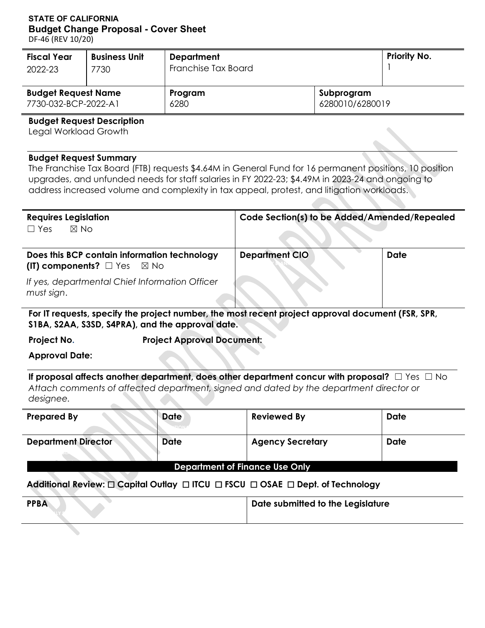# **STATE OF CALIFORNIA Budget Change Proposal - Cover Sheet**

DF-46 (REV 10/20)

| <b>Fiscal Year</b>         | <b>Business Unit</b> | <b>Department</b>   | <b>Priority No.</b> |  |
|----------------------------|----------------------|---------------------|---------------------|--|
| 2022-23                    | 7730                 | Franchise Tax Board |                     |  |
| <b>Budget Request Name</b> |                      | Program             | Subprogram          |  |
| 7730-032-BCP-2022-A1       |                      | 6280                | 6280010/6280019     |  |

### **Budget Request Description**

Legal Workload Growth

#### **Budget Request Summary**

The Franchise Tax Board (FTB) requests \$4.64M in General Fund for 16 permanent positions, 10 position upgrades, and unfunded needs for staff salaries in FY 2022-23; \$4.49M in 2023-24 and ongoing to address increased volume and complexity in tax appeal, protest, and litigation workloads.

| <b>Requires Legislation</b><br>$\boxtimes$ No<br>$\Box$ Yes                                | Code Section(s) to be Added/Amended/Repealed |      |
|--------------------------------------------------------------------------------------------|----------------------------------------------|------|
| Does this BCP contain information technology<br>(IT) components? $\Box$ Yes $\boxtimes$ No | <b>Department CIO</b>                        | Date |
| If yes, departmental Chief Information Officer<br>must sign.                               |                                              |      |

**For IT requests, specify the project number, the most recent project approval document (FSR, SPR, S1BA, S2AA, S3SD, S4PRA), and the approval date.**

**Project No. Set Approval Document: Project Approval Document:** 

**Approval Date:** 

**If proposal affects another department, does other department concur with proposal?** □ Yes □ No *Attach comments of affected department, signed and dated by the department director or designee.* 

| <b>Prepared By</b>                    | <b>Date</b> | <b>Reviewed By</b>      | Date |  |  |  |  |  |  |
|---------------------------------------|-------------|-------------------------|------|--|--|--|--|--|--|
|                                       | <b>ELON</b> |                         |      |  |  |  |  |  |  |
| <b>Department Director</b>            | <b>Date</b> | <b>Agency Secretary</b> | Date |  |  |  |  |  |  |
|                                       |             |                         |      |  |  |  |  |  |  |
| <b>Department of Finance Use Only</b> |             |                         |      |  |  |  |  |  |  |

#### **Additional Review:** ☐ **Capital Outlay** ☐ **ITCU** ☐ **FSCU** ☐ **OSAE** ☐ **Dept. of Technology**

| <b>PPBA</b> | Date submitted to the Legislature |
|-------------|-----------------------------------|
|             |                                   |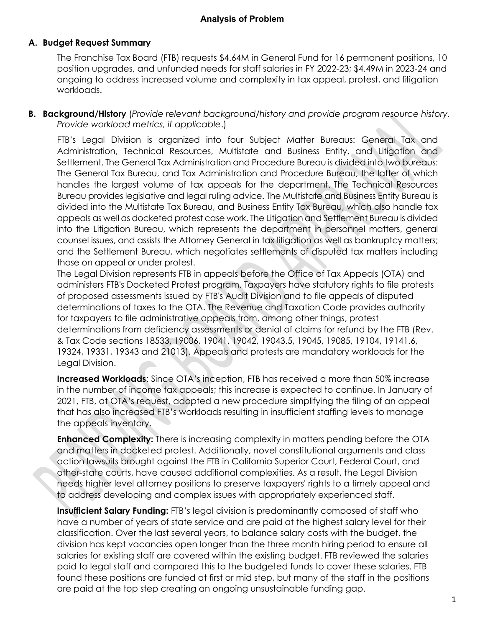### **Analysis of Problem**

### **A. Budget Request Summary**

The Franchise Tax Board (FTB) requests \$4.64M in General Fund for 16 permanent positions, 10 position upgrades, and unfunded needs for staff salaries in FY 2022-23; \$4.49M in 2023-24 and ongoing to address increased volume and complexity in tax appeal, protest, and litigation workloads.

**B. Background/History** (*Provide relevant background/history and provide program resource history. Provide workload metrics, if applicable*.)

FTB's Legal Division is organized into four Subject Matter Bureaus: General Tax and Administration, Technical Resources, Multistate and Business Entity, and Litigation and Settlement. The General Tax Administration and Procedure Bureau is divided into two bureaus: The General Tax Bureau, and Tax Administration and Procedure Bureau, the latter of which handles the largest volume of tax appeals for the department. The Technical Resources Bureau provides legislative and legal ruling advice. The Multistate and Business Entity Bureau is divided into the Multistate Tax Bureau, and Business Entity Tax Bureau, which also handle tax appeals as well as docketed protest case work. The Litigation and Settlement Bureau is divided into the Litigation Bureau, which represents the department in personnel matters, general counsel issues, and assists the Attorney General in tax litigation as well as bankruptcy matters; and the Settlement Bureau, which negotiates settlements of disputed tax matters including those on appeal or under protest.

The Legal Division represents FTB in appeals before the Office of Tax Appeals (OTA) and administers FTB's Docketed Protest program. Taxpayers have statutory rights to file protests of proposed assessments issued by FTB's Audit Division and to file appeals of disputed determinations of taxes to the OTA. The Revenue and Taxation Code provides authority for taxpayers to file administrative appeals from, among other things, protest determinations from deficiency assessments or denial of claims for refund by the FTB (Rev. & Tax Code sections 18533, 19006, 19041, 19042, 19043.5, 19045, 19085, 19104, 19141.6, 19324, 19331, 19343 and 21013). Appeals and protests are mandatory workloads for the Legal Division.

**Increased Workloads**: Since OTA's inception, FTB has received a more than 50% increase in the number of income tax appeals; this increase is expected to continue. In January of 2021, FTB, at OTA's request, adopted a new procedure simplifying the filing of an appeal that has also increased FTB's workloads resulting in insufficient staffing levels to manage the appeals inventory.

**Enhanced Complexity:** There is increasing complexity in matters pending before the OTA and matters in docketed protest. Additionally, novel constitutional arguments and class action lawsuits brought against the FTB in California Superior Court, Federal Court, and other-state courts, have caused additional complexities. As a result, the Legal Division needs higher level attorney positions to preserve taxpayers' rights to a timely appeal and to address developing and complex issues with appropriately experienced staff.

**Insufficient Salary Funding:** FTB's legal division is predominantly composed of staff who have a number of years of state service and are paid at the highest salary level for their classification. Over the last several years, to balance salary costs with the budget, the division has kept vacancies open longer than the three month hiring period to ensure all salaries for existing staff are covered within the existing budget. FTB reviewed the salaries paid to legal staff and compared this to the budgeted funds to cover these salaries. FTB found these positions are funded at first or mid step, but many of the staff in the positions are paid at the top step creating an ongoing unsustainable funding gap.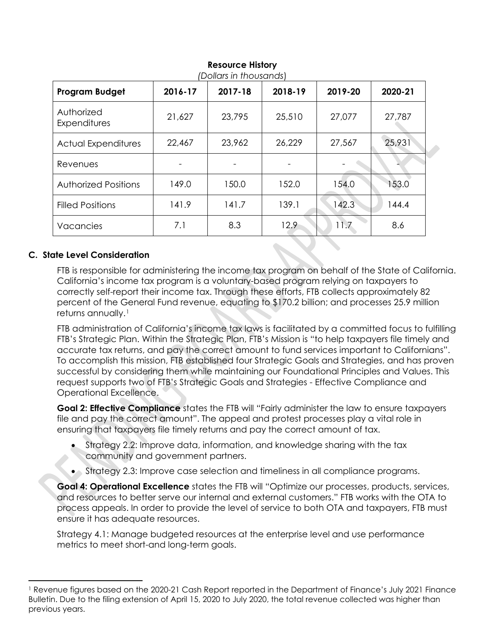| <b>Program Budget</b>       | 2016-17 | 2017-18 | 2018-19 | 2019-20 | 2020-21 |
|-----------------------------|---------|---------|---------|---------|---------|
| Authorized<br>Expenditures  | 21,627  | 23,795  | 25,510  | 27,077  | 27,787  |
| <b>Actual Expenditures</b>  | 22,467  | 23,962  | 26,229  | 27,567  | 25,931  |
| Revenues                    |         |         |         |         |         |
| <b>Authorized Positions</b> | 149.0   | 150.0   | 152.0   | 154.0   | 153.0   |
| <b>Filled Positions</b>     | 141.9   | 141.7   | 139.1   | 142.3   | 144.4   |
| Vacancies                   | 7.1     | 8.3     | 12.9    | 11.7    | 8.6     |

# **Resource History**

# **C. State Level Consideration**

 $\overline{\phantom{a}}$ 

FTB is responsible for administering the income tax program on behalf of the State of California. California's income tax program is a voluntary-based program relying on taxpayers to correctly self-report their income tax. Through these efforts, FTB collects approximately 82 percent of the General Fund revenue, equating to \$170.2 billion; and processes 25.9 million returns annually.<sup>[1](#page-2-0)</sup>

FTB administration of California's income tax laws is facilitated by a committed focus to fulfilling FTB's Strategic Plan. Within the Strategic Plan, FTB's Mission is "to help taxpayers file timely and accurate tax returns, and pay the correct amount to fund services important to Californians". To accomplish this mission, FTB established four Strategic Goals and Strategies, and has proven successful by considering them while maintaining our Foundational Principles and Values. This request supports two of FTB's Strategic Goals and Strategies - Effective Compliance and Operational Excellence.

**Goal 2: Effective Compliance** states the FTB will "Fairly administer the law to ensure taxpayers file and pay the correct amount". The appeal and protest processes play a vital role in ensuring that taxpayers file timely returns and pay the correct amount of tax.

- Strategy 2.2: Improve data, information, and knowledge sharing with the tax community and government partners.
- Strategy 2.3: Improve case selection and timeliness in all compliance programs.

**Goal 4: Operational Excellence** states the FTB will "Optimize our processes, products, services, and resources to better serve our internal and external customers." FTB works with the OTA to process appeals. In order to provide the level of service to both OTA and taxpayers, FTB must ensure it has adequate resources.

Strategy 4.1: Manage budgeted resources at the enterprise level and use performance metrics to meet short-and long-term goals.

<span id="page-2-0"></span><sup>1</sup> Revenue figures based on the 2020-21 Cash Report reported in the Department of Finance's July 2021 Finance Bulletin. Due to the filing extension of April 15, 2020 to July 2020, the total revenue collected was higher than previous years.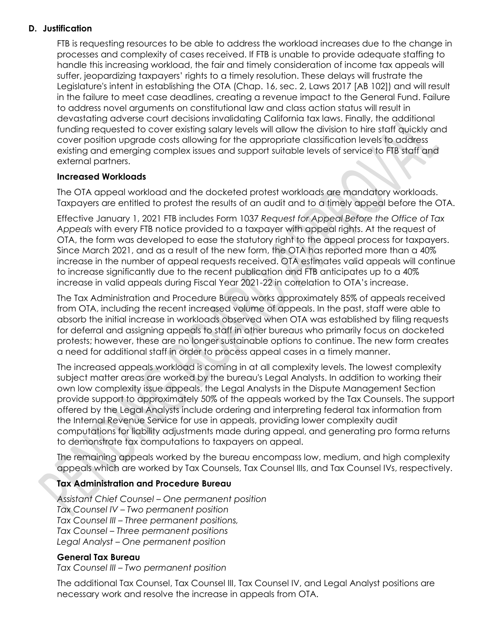## **D. Justification**

FTB is requesting resources to be able to address the workload increases due to the change in processes and complexity of cases received. If FTB is unable to provide adequate staffing to handle this increasing workload, the fair and timely consideration of income tax appeals will suffer, jeopardizing taxpayers' rights to a timely resolution. These delays will frustrate the Legislature's intent in establishing the OTA (Chap. 16, sec. 2, Laws 2017 [AB 102]) and will result in the failure to meet case deadlines, creating a revenue impact to the General Fund. Failure to address novel arguments on constitutional law and class action status will result in devastating adverse court decisions invalidating California tax laws. Finally, the additional funding requested to cover existing salary levels will allow the division to hire staff quickly and cover position upgrade costs allowing for the appropriate classification levels to address existing and emerging complex issues and support suitable levels of service to FTB staff and external partners.

#### **Increased Workloads**

The OTA appeal workload and the docketed protest workloads are mandatory workloads. Taxpayers are entitled to protest the results of an audit and to a timely appeal before the OTA.

Effective January 1, 2021 FTB includes Form 1037 *Request for Appeal Before the Office of Tax Appeals* with every FTB notice provided to a taxpayer with appeal rights. At the request of OTA, the form was developed to ease the statutory right to the appeal process for taxpayers. Since March 2021, and as a result of the new form, the OTA has reported more than a 40% increase in the number of appeal requests received. OTA estimates valid appeals will continue to increase significantly due to the recent publication and FTB anticipates up to a 40% increase in valid appeals during Fiscal Year 2021-22 in correlation to OTA's increase.

The Tax Administration and Procedure Bureau works approximately 85% of appeals received from OTA, including the recent increased volume of appeals. In the past, staff were able to absorb the initial increase in workloads observed when OTA was established by filing requests for deferral and assigning appeals to staff in other bureaus who primarily focus on docketed protests; however, these are no longer sustainable options to continue. The new form creates a need for additional staff in order to process appeal cases in a timely manner.

The increased appeals workload is coming in at all complexity levels. The lowest complexity subject matter areas are worked by the bureau's Legal Analysts. In addition to working their own low complexity issue appeals, the Legal Analysts in the Dispute Management Section provide support to approximately 50% of the appeals worked by the Tax Counsels. The support offered by the Legal Analysts include ordering and interpreting federal tax information from the Internal Revenue Service for use in appeals, providing lower complexity audit computations for liability adjustments made during appeal, and generating pro forma returns to demonstrate tax computations to taxpayers on appeal.

The remaining appeals worked by the bureau encompass low, medium, and high complexity appeals which are worked by Tax Counsels, Tax Counsel IIIs, and Tax Counsel IVs, respectively.

# **Tax Administration and Procedure Bureau**

*Assistant Chief Counsel – One permanent position Tax Counsel IV – Two permanent position Tax Counsel III – Three permanent positions, Tax Counsel – Three permanent positions Legal Analyst – One permanent position*

#### **General Tax Bureau**

*Tax Counsel III – Two permanent position*

The additional Tax Counsel, Tax Counsel III, Tax Counsel IV, and Legal Analyst positions are necessary work and resolve the increase in appeals from OTA.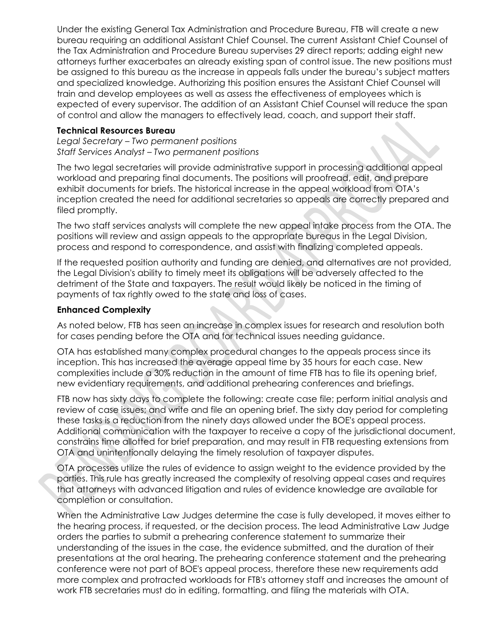Under the existing General Tax Administration and Procedure Bureau, FTB will create a new bureau requiring an additional Assistant Chief Counsel. The current Assistant Chief Counsel of the Tax Administration and Procedure Bureau supervises 29 direct reports; adding eight new attorneys further exacerbates an already existing span of control issue. The new positions must be assigned to this bureau as the increase in appeals falls under the bureau's subject matters and specialized knowledge. Authorizing this position ensures the Assistant Chief Counsel will train and develop employees as well as assess the effectiveness of employees which is expected of every supervisor. The addition of an Assistant Chief Counsel will reduce the span of control and allow the managers to effectively lead, coach, and support their staff.

#### **Technical Resources Bureau**

*Legal Secretary – Two permanent positions Staff Services Analyst – Two permanent positions*

The two legal secretaries will provide administrative support in processing additional appeal workload and preparing final documents. The positions will proofread, edit, and prepare exhibit documents for briefs. The historical increase in the appeal workload from OTA's inception created the need for additional secretaries so appeals are correctly prepared and filed promptly.

The two staff services analysts will complete the new appeal intake process from the OTA. The positions will review and assign appeals to the appropriate bureaus in the Legal Division, process and respond to correspondence, and assist with finalizing completed appeals.

If the requested position authority and funding are denied, and alternatives are not provided, the Legal Division's ability to timely meet its obligations will be adversely affected to the detriment of the State and taxpayers. The result would likely be noticed in the timing of payments of tax rightly owed to the state and loss of cases.

#### **Enhanced Complexity**

As noted below, FTB has seen an increase in complex issues for research and resolution both for cases pending before the OTA and for technical issues needing guidance.

OTA has established many complex procedural changes to the appeals process since its inception. This has increased the average appeal time by 35 hours for each case. New complexities include a 30% reduction in the amount of time FTB has to file its opening brief, new evidentiary requirements, and additional prehearing conferences and briefings.

FTB now has sixty days to complete the following: create case file; perform initial analysis and review of case issues; and write and file an opening brief. The sixty day period for completing these tasks is a reduction from the ninety days allowed under the BOE's appeal process. Additional communication with the taxpayer to receive a copy of the jurisdictional document, constrains time allotted for brief preparation, and may result in FTB requesting extensions from OTA and unintentionally delaying the timely resolution of taxpayer disputes.

OTA processes utilize the rules of evidence to assign weight to the evidence provided by the parties. This rule has greatly increased the complexity of resolving appeal cases and requires that attorneys with advanced litigation and rules of evidence knowledge are available for completion or consultation.

When the Administrative Law Judges determine the case is fully developed, it moves either to the hearing process, if requested, or the decision process. The lead Administrative Law Judge orders the parties to submit a prehearing conference statement to summarize their understanding of the issues in the case, the evidence submitted, and the duration of their presentations at the oral hearing. The prehearing conference statement and the prehearing conference were not part of BOE's appeal process, therefore these new requirements add more complex and protracted workloads for FTB's attorney staff and increases the amount of work FTB secretaries must do in editing, formatting, and filing the materials with OTA.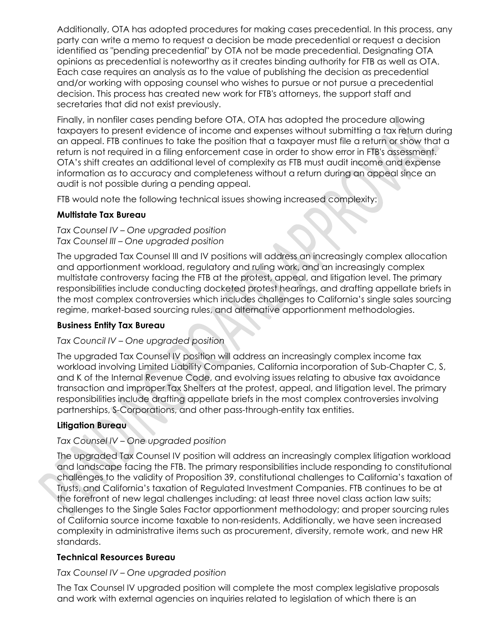Additionally, OTA has adopted procedures for making cases precedential. In this process, any party can write a memo to request a decision be made precedential or request a decision identified as "pending precedential" by OTA not be made precedential. Designating OTA opinions as precedential is noteworthy as it creates binding authority for FTB as well as OTA. Each case requires an analysis as to the value of publishing the decision as precedential and/or working with opposing counsel who wishes to pursue or not pursue a precedential decision. This process has created new work for FTB's attorneys, the support staff and secretaries that did not exist previously.

Finally, in nonfiler cases pending before OTA, OTA has adopted the procedure allowing taxpayers to present evidence of income and expenses without submitting a tax return during an appeal. FTB continues to take the position that a taxpayer must file a return or show that a return is not required in a filing enforcement case in order to show error in FTB's assessment. OTA's shift creates an additional level of complexity as FTB must audit income and expense information as to accuracy and completeness without a return during an appeal since an audit is not possible during a pending appeal.

FTB would note the following technical issues showing increased complexity:

### **Multistate Tax Bureau**

*Tax Counsel IV – One upgraded position Tax Counsel III – One upgraded position*

The upgraded Tax Counsel III and IV positions will address an increasingly complex allocation and apportionment workload, regulatory and ruling work, and an increasingly complex multistate controversy facing the FTB at the protest, appeal, and litigation level. The primary responsibilities include conducting docketed protest hearings, and drafting appellate briefs in the most complex controversies which includes challenges to California's single sales sourcing regime, market-based sourcing rules, and alternative apportionment methodologies.

# **Business Entity Tax Bureau**

#### *Tax Council IV – One upgraded position*

The upgraded Tax Counsel IV position will address an increasingly complex income tax workload involving Limited Liability Companies, California incorporation of Sub-Chapter C, S, and K of the Internal Revenue Code, and evolving issues relating to abusive tax avoidance transaction and improper Tax Shelters at the protest, appeal, and litigation level. The primary responsibilities include drafting appellate briefs in the most complex controversies involving partnerships, S-Corporations, and other pass-through-entity tax entities.

# **Litigation Bureau**

### *Tax Counsel IV – One upgraded position*

The upgraded Tax Counsel IV position will address an increasingly complex litigation workload and landscape facing the FTB. The primary responsibilities include responding to constitutional challenges to the validity of Proposition 39, constitutional challenges to California's taxation of Trusts, and California's taxation of Regulated Investment Companies. FTB continues to be at the forefront of new legal challenges including: at least three novel class action law suits; challenges to the Single Sales Factor apportionment methodology; and proper sourcing rules of California source income taxable to non-residents. Additionally, we have seen increased complexity in administrative items such as procurement, diversity, remote work, and new HR standards.

# **Technical Resources Bureau**

#### *Tax Counsel IV – One upgraded position*

The Tax Counsel IV upgraded position will complete the most complex legislative proposals and work with external agencies on inquiries related to legislation of which there is an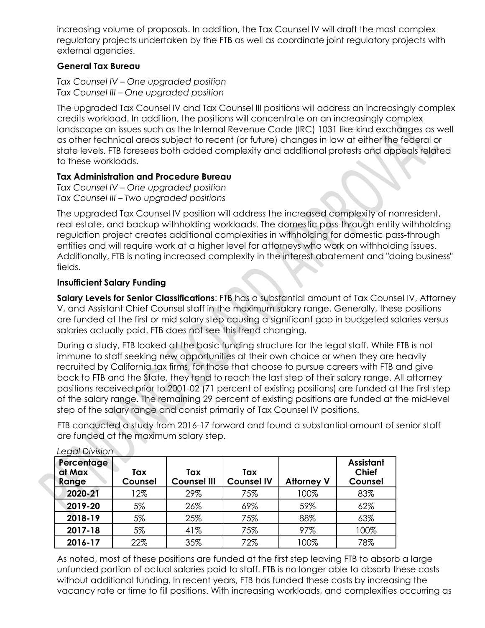increasing volume of proposals. In addition, the Tax Counsel IV will draft the most complex regulatory projects undertaken by the FTB as well as coordinate joint regulatory projects with external agencies.

# **General Tax Bureau**

*Tax Counsel IV – One upgraded position Tax Counsel III – One upgraded position*

The upgraded Tax Counsel IV and Tax Counsel III positions will address an increasingly complex credits workload. In addition, the positions will concentrate on an increasingly complex landscape on issues such as the Internal Revenue Code (IRC) 1031 like-kind exchanges as well as other technical areas subject to recent (or future) changes in law at either the federal or state levels. FTB foresees both added complexity and additional protests and appeals related to these workloads.

### **Tax Administration and Procedure Bureau**

*Tax Counsel IV – One upgraded position Tax Counsel III – Two upgraded positions*

The upgraded Tax Counsel IV position will address the increased complexity of nonresident, real estate, and backup withholding workloads. The domestic pass-through entity withholding regulation project creates additional complexities in withholding for domestic pass-through entities and will require work at a higher level for attorneys who work on withholding issues. Additionally, FTB is noting increased complexity in the interest abatement and "doing business" fields.

# **Insufficient Salary Funding**

**Salary Levels for Senior Classifications**: FTB has a substantial amount of Tax Counsel IV, Attorney V, and Assistant Chief Counsel staff in the maximum salary range. Generally, these positions are funded at the first or mid salary step causing a significant gap in budgeted salaries versus salaries actually paid. FTB does not see this trend changing.

During a study, FTB looked at the basic funding structure for the legal staff. While FTB is not immune to staff seeking new opportunities at their own choice or when they are heavily recruited by California tax firms, for those that choose to pursue careers with FTB and give back to FTB and the State, they tend to reach the last step of their salary range. All attorney positions received prior to 2001-02 (71 percent of existing positions) are funded at the first step of the salary range. The remaining 29 percent of existing positions are funded at the mid-level step of the salary range and consist primarily of Tax Counsel IV positions.

FTB conducted a study from 2016-17 forward and found a substantial amount of senior staff are funded at the maximum salary step.

| Percentage<br>at Max<br>Range | Tax<br>Counsel | Tax<br><b>Counsel III</b> | Tax<br><b>Counsel IV</b> | <b>Attorney V</b> | <b>Assistant</b><br><b>Chief</b><br>Counsel |
|-------------------------------|----------------|---------------------------|--------------------------|-------------------|---------------------------------------------|
| 2020-21                       | 12%            | 29%                       | 75%                      | 100%              | 83%                                         |
| 2019-20                       | 5%             | 26%                       | 69%                      | 59%               | 62%                                         |
| 2018-19                       | 5%             | 25%                       | 75%                      | 88%               | 63%                                         |
| 2017-18                       | 5%             | 41%                       | 75%                      | 97%               | 100%                                        |
| 2016-17                       | 22%            | 35%                       | 72%                      | 100%              | 78%                                         |

*Legal Division*

As noted, most of these positions are funded at the first step leaving FTB to absorb a large unfunded portion of actual salaries paid to staff. FTB is no longer able to absorb these costs without additional funding. In recent years, FTB has funded these costs by increasing the vacancy rate or time to fill positions. With increasing workloads, and complexities occurring as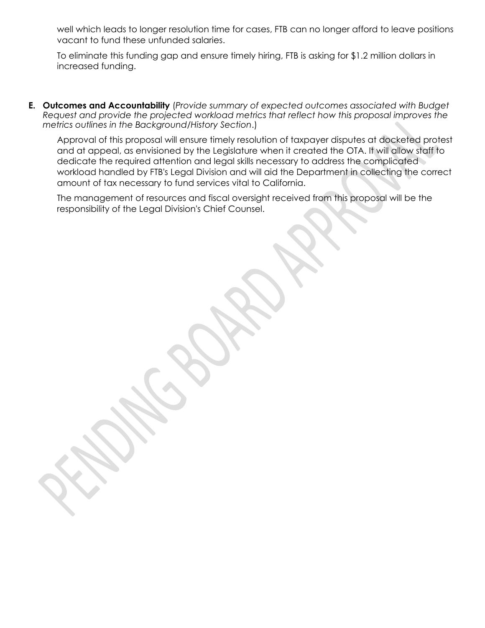well which leads to longer resolution time for cases, FTB can no longer afford to leave positions vacant to fund these unfunded salaries.

To eliminate this funding gap and ensure timely hiring, FTB is asking for \$1.2 million dollars in increased funding.

**E. Outcomes and Accountability** (*Provide summary of expected outcomes associated with Budget Request and provide the projected workload metrics that reflect how this proposal improves the metrics outlines in the Background/History Section*.)

Approval of this proposal will ensure timely resolution of taxpayer disputes at docketed protest and at appeal, as envisioned by the Legislature when it created the OTA. It will allow staff to dedicate the required attention and legal skills necessary to address the complicated workload handled by FTB's Legal Division and will aid the Department in collecting the correct amount of tax necessary to fund services vital to California.

The management of resources and fiscal oversight received from this proposal will be the responsibility of the Legal Division's Chief Counsel.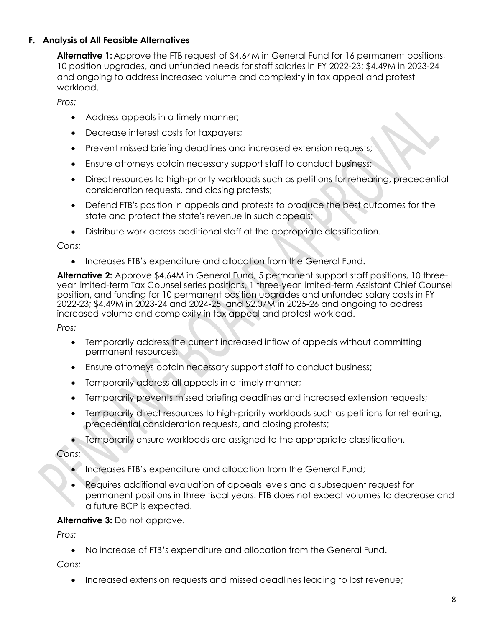# **F. Analysis of All Feasible Alternatives**

**Alternative 1:** Approve the FTB request of \$4.64M in General Fund for 16 permanent positions, 10 position upgrades, and unfunded needs for staff salaries in FY 2022-23; \$4.49M in 2023-24 and ongoing to address increased volume and complexity in tax appeal and protest workload.

*Pros:* 

- Address appeals in a timely manner;
- Decrease interest costs for taxpayers;
- Prevent missed briefing deadlines and increased extension requests;
- Ensure attorneys obtain necessary support staff to conduct business;
- Direct resources to high-priority workloads such as petitions for rehearing, precedential consideration requests, and closing protests;
- Defend FTB's position in appeals and protests to produce the best outcomes for the state and protect the state's revenue in such appeals;
- Distribute work across additional staff at the appropriate classification.

*Cons:*

• Increases FTB's expenditure and allocation from the General Fund.

**Alternative 2:** Approve \$4.64M in General Fund, 5 permanent support staff positions, 10 threeyear limited-term Tax Counsel series positions, 1 three-year limited-term Assistant Chief Counsel position, and funding for 10 permanent position upgrades and unfunded salary costs in FY 2022-23; \$4.49M in 2023-24 and 2024-25, and \$2.07M in 2025-26 and ongoing to address increased volume and complexity in tax appeal and protest workload.

*Pros:* 

- Temporarily address the current increased inflow of appeals without committing permanent resources;
- Ensure attorneys obtain necessary support staff to conduct business;
- Temporarily address all appeals in a timely manner;
- Temporarily prevents missed briefing deadlines and increased extension requests;
- Temporarily direct resources to high-priority workloads such as petitions for rehearing, precedential consideration requests, and closing protests;
- Temporarily ensure workloads are assigned to the appropriate classification.

*Cons:*

- Increases FTB's expenditure and allocation from the General Fund;
- Requires additional evaluation of appeals levels and a subsequent request for permanent positions in three fiscal years. FTB does not expect volumes to decrease and a future BCP is expected.

# **Alternative 3:** Do not approve.

*Pros:* 

• No increase of FTB's expenditure and allocation from the General Fund.

*Cons:*

• Increased extension requests and missed deadlines leading to lost revenue;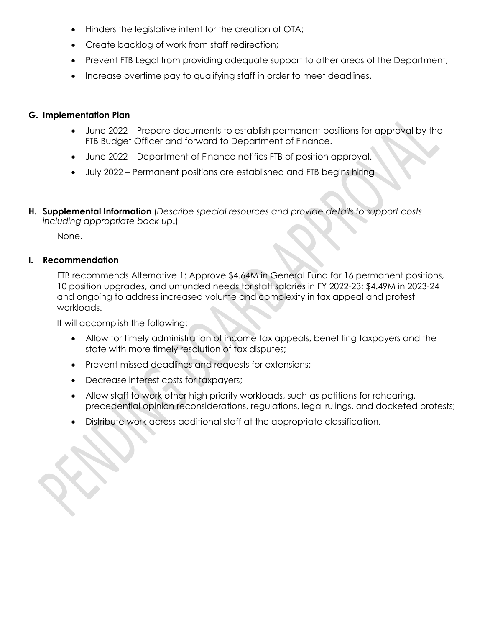- Hinders the legislative intent for the creation of OTA;
- Create backlog of work from staff redirection;
- Prevent FTB Legal from providing adequate support to other areas of the Department;
- Increase overtime pay to qualifying staff in order to meet deadlines.

### **G. Implementation Plan**

- June 2022 Prepare documents to establish permanent positions for approval by the FTB Budget Officer and forward to Department of Finance.
- June 2022 Department of Finance notifies FTB of position approval.
- July 2022 Permanent positions are established and FTB begins hiring**.**
- **H. Supplemental Information** (*Describe special resources and provide details to support costs including appropriate back up***.**)

None.

#### **I. Recommendation**

FTB recommends Alternative 1: Approve \$4.64M in General Fund for 16 permanent positions, 10 position upgrades, and unfunded needs for staff salaries in FY 2022-23; \$4.49M in 2023-24 and ongoing to address increased volume and complexity in tax appeal and protest workloads.

It will accomplish the following:

- Allow for timely administration of income tax appeals, benefiting taxpayers and the state with more timely resolution of tax disputes;
- Prevent missed deadlines and requests for extensions;
- Decrease interest costs for taxpayers;
- Allow staff to work other high priority workloads, such as petitions for rehearing, precedential opinion reconsiderations, regulations, legal rulings, and docketed protests;
- Distribute work across additional staff at the appropriate classification.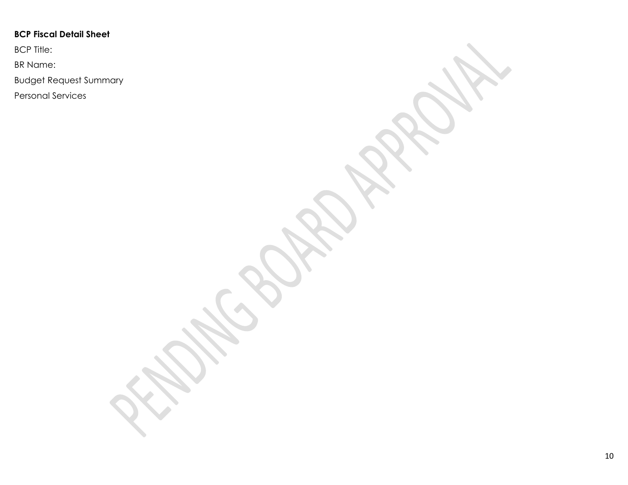# **BCP Fiscal Detail Sheet**

BCP Title:

BR Name:

Budget Request Summary

Personal Services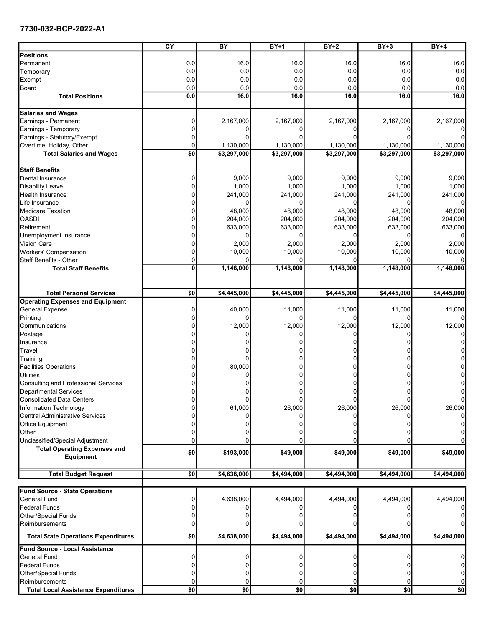#### 7730-032-BCP-2022-A1

|                                                         | $\overline{\text{cY}}$ | $\overline{BY}$ | $BY+1$      | $BY+2$         | $BY+3$      | $BY+4$         |
|---------------------------------------------------------|------------------------|-----------------|-------------|----------------|-------------|----------------|
| Positions                                               |                        |                 |             |                |             |                |
| Permanent                                               | 0.0                    | 16.0            | 16.0        | 16.0           | 16.0        | 16.0           |
| Temporary                                               | 0.0                    | 0.0             | 0.0         | 0.0            | 0.0         | 0.0            |
| Exempt                                                  | 0.0                    | 0.0             | 0.0         | 0.0            | 0.0         | 0.0            |
| Board                                                   | 0.0                    | 0.0             | 0.0         | 0.0            | 0.0         | 0.0            |
| <b>Total Positions</b>                                  | 0.0                    | 16.0            | 16.0        | 16.0           | 16.0        | 16.0           |
| <b>Salaries and Wages</b>                               |                        |                 |             |                |             |                |
| Earnings - Permanent                                    |                        | 2,167,000       | 2,167,000   | 2,167,000      | 2,167,000   | 2,167,000      |
| Earnings - Temporary                                    |                        |                 |             |                |             |                |
| Earnings - Statutory/Exempt                             |                        |                 |             |                |             |                |
| Overtime, Holiday, Other                                |                        | 1,130,000       | 1,130,000   | 1,130,000      | 1,130,000   | 1,130,000      |
| <b>Total Salaries and Wages</b>                         | \$0                    | \$3,297,000     | \$3,297,000 | \$3,297,000    | \$3,297,000 | \$3,297,000    |
| <b>Staff Benefits</b>                                   |                        |                 |             |                |             |                |
| Dental Insurance                                        |                        | 9,000           | 9,000       | 9,000          | 9,000       | 9,000          |
| <b>Disability Leave</b>                                 |                        | 1,000           | 1,000       | 1,000          | 1,000       | 1,000          |
| <b>Health Insurance</b>                                 |                        | 241,000         | 241,000     | 241,000        | 241,000     | 241,000        |
| Life Insurance                                          |                        | n               |             | 0              |             | $\Omega$       |
| <b>Medicare Taxation</b>                                |                        | 48,000          | 48,000      | 48,000         | 48,000      | 48,000         |
| <b>OASDI</b>                                            |                        | 204,000         | 204,000     | 204,000        | 204,000     | 204,000        |
| Retirement                                              |                        | 633,000         | 633,000     | 633,000        | 633,000     | 633,000        |
| Unemployment Insurance                                  |                        |                 |             | 0              |             | $\overline{0}$ |
| <b>Vision Care</b>                                      |                        | 2,000           | 2,000       | 2,000          | 2,000       | 2,000          |
| Workers' Compensation                                   |                        | 10,000          | 10,000      | 10,000         | 10,000      | 10,000         |
| <b>Staff Benefits - Other</b>                           |                        | <sup>0</sup>    | U           | $\Omega$       |             | $\Omega$       |
| <b>Total Staff Benefits</b>                             |                        | 1,148,000       | 1,148,000   | 1,148,000      | 1,148,000   | 1,148,000      |
|                                                         |                        |                 |             |                |             |                |
|                                                         |                        |                 |             |                |             |                |
| <b>Total Personal Services</b>                          | \$0                    | \$4,445,000     | \$4,445,000 | \$4,445,000    | \$4,445,000 | \$4,445,000    |
| <b>Operating Expenses and Equipment</b>                 |                        |                 |             |                |             |                |
| <b>General Expense</b>                                  |                        | 40,000          | 11,000      | 11,000         | 11,000      | 11,000         |
| Printing                                                |                        |                 |             | $\Omega$       |             | $\Omega$       |
| Communications                                          |                        | 12,000          | 12,000      | 12,000         | 12,000      | 12,000         |
| Postage                                                 |                        |                 |             | 0              |             | $\overline{0}$ |
| Insurance                                               |                        |                 |             |                |             | 0              |
| Travel                                                  |                        |                 |             |                |             | 0              |
| Training                                                |                        |                 |             |                |             | $\mathbf 0$    |
| <b>Facilities Operations</b>                            |                        | 80,000          |             |                |             | 0              |
| Utilities                                               |                        |                 |             |                |             | 0              |
| Consulting and Professional Services                    |                        |                 |             |                |             | 0              |
| Departmental Services                                   |                        |                 |             |                |             | $\overline{0}$ |
| <b>Consolidated Data Centers</b>                        |                        |                 |             | 0              |             | 0              |
| Information Technology                                  |                        | 61,000          | 26,000      | 26,000         | 26,000      | 26,000         |
| Central Administrative Services                         |                        |                 |             |                |             | $\overline{0}$ |
| Office Equipment                                        |                        |                 |             |                |             | 0              |
| Other                                                   |                        |                 |             |                |             | 0<br>0         |
| Unclassified/Special Adjustment                         |                        |                 |             |                |             |                |
| <b>Total Operating Expenses and</b><br><b>Equipment</b> | \$0                    | \$193,000       | \$49,000    | \$49,000       | \$49,000    | \$49,000       |
|                                                         |                        |                 |             |                |             |                |
| <b>Total Budget Request</b>                             | \$0                    | \$4,638,000     | \$4,494,000 | \$4,494,000    | \$4,494,000 | \$4,494,000    |
|                                                         |                        |                 |             |                |             |                |
| <b>Fund Source - State Operations</b>                   |                        |                 |             |                |             |                |
| General Fund                                            |                        | 4,638,000       | 4,494,000   | 4,494,000      | 4,494,000   | 4,494,000      |
| Federal Funds                                           |                        |                 |             |                |             | $\overline{0}$ |
| Other/Special Funds                                     |                        |                 |             |                |             | $\Omega$       |
| Reimbursements                                          |                        |                 |             |                |             | 0              |
| <b>Total State Operations Expenditures</b>              | \$0                    | \$4,638,000     | \$4,494,000 | \$4,494,000    | \$4,494,000 | \$4,494,000    |
| Fund Source - Local Assistance                          |                        |                 |             |                |             |                |
| <b>General Fund</b>                                     |                        |                 |             | 0              |             | 0              |
| Federal Funds                                           |                        |                 |             | 0              |             | 0              |
| Other/Special Funds                                     |                        |                 |             | 0              |             | 0              |
| Reimbursements                                          |                        | 0               |             | $\overline{0}$ |             | 0              |
| <b>Total Local Assistance Expenditures</b>              | \$0                    | \$0             | \$0         | \$0            | \$0         | \$0            |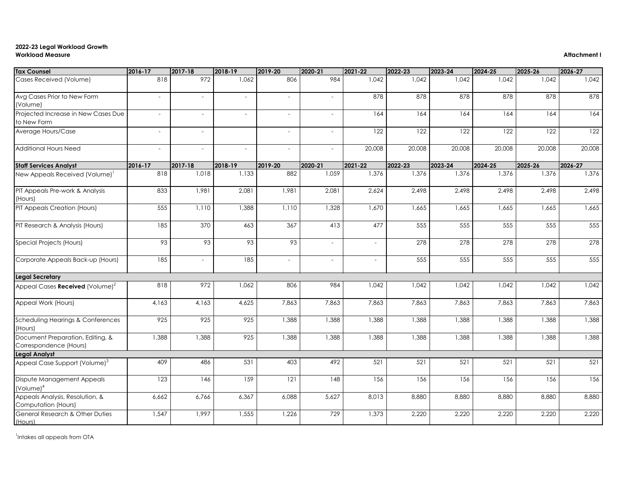# **2022-23 Legal Workload Growth Workload Measure Attachment I**

| <b>Tax Counsel</b>                                         | $ 2016-17 $              | $ 2017-18 $              | 2018-19                  | 2019-20                  | 2020-21                  | 2021-22                  | 2022-23 | $ 2023 - 24 $ | 2024-25 | 2025-26 | 2026-27 |
|------------------------------------------------------------|--------------------------|--------------------------|--------------------------|--------------------------|--------------------------|--------------------------|---------|---------------|---------|---------|---------|
| Cases Received (Volume)                                    | 818                      | 972                      | 1,062                    | 806                      | 984                      | 1,042                    | 1,042   | 1,042         | 1,042   | 1,042   | 1,042   |
| Avg Cases Prior to New Form<br>(Volume)                    | $\overline{\phantom{a}}$ | $\sim$                   | $\overline{\phantom{a}}$ | $-$                      | $\overline{\phantom{a}}$ | 878                      | 878     | 878           | 878     | 878     | 878     |
| Projected Increase in New Cases Due<br>to New Form         | $\overline{\phantom{a}}$ | $\sim$                   | $\overline{\phantom{a}}$ | $\sim$                   | $\overline{\phantom{a}}$ | 164                      | 164     | 164           | 164     | 164     | 164     |
| Average Hours/Case                                         | $\overline{\phantom{a}}$ | $\sim$                   |                          | $\sim$                   | $\overline{\phantom{a}}$ | 122                      | 122     | 122           | 122     | 122     | 122     |
| Additional Hours Need                                      | $\overline{\phantom{a}}$ | $\sim$                   | $\overline{\phantom{a}}$ |                          | $\overline{\phantom{a}}$ | 20,008                   | 20,008  | 20,008        | 20,008  | 20,008  | 20,008  |
| <b>Staff Services Analyst</b>                              | 2016-17                  | $ 2017-18 $              | 2018-19                  | 2019-20                  | 2020-21                  | 2021-22                  | 2022-23 | $ 2023 - 24 $ | 2024-25 | 2025-26 | 2026-27 |
| New Appeals Received (Volume) <sup>1</sup>                 | 818                      | 1,018                    | 1,133                    | 882                      | 1,059                    | 1,376                    | 1,376   | 1,376         | 1,376   | 1,376   | 1,376   |
| PIT Appeals Pre-work & Analysis<br>(Hours)                 | 833                      | 1,981                    | 2,081                    | 1,981                    | 2,081                    | 2,624                    | 2,498   | 2,498         | 2,498   | 2,498   | 2,498   |
| PIT Appeals Creation (Hours)                               | 555                      | 1,110                    | 1,388                    | 1,110                    | 1,328                    | 1,670                    | 1,665   | 1,665         | 1,665   | 1,665   | 1,665   |
| PIT Research & Analysis (Hours)                            | 185                      | 370                      | 463                      | 367                      | 413                      | 477                      | 555     | 555           | 555     | 555     | 555     |
| Special Projects (Hours)                                   | 93                       | 93                       | 93                       | 93                       | $\overline{\phantom{a}}$ | $\overline{\phantom{a}}$ | 278     | 278           | 278     | 278     | 278     |
| Corporate Appeals Back-up (Hours)                          | 185                      | $\overline{\phantom{a}}$ | 185                      | $\overline{\phantom{a}}$ | $\overline{\phantom{a}}$ |                          | 555     | 555           | 555     | 555     | 555     |
| <b>Legal Secretary</b>                                     |                          |                          |                          |                          |                          |                          |         |               |         |         |         |
| Appeal Cases Received (Volume) <sup>2</sup>                | 818                      | 972                      | 1,062                    | 806                      | 984                      | 1,042                    | 1,042   | 1,042         | 1,042   | 1,042   | 1,042   |
| Appeal Work (Hours)                                        | 4,163                    | 4,163                    | 4,625                    | 7,863                    | 7,863                    | 7,863                    | 7,863   | 7,863         | 7,863   | 7,863   | 7,863   |
| Scheduling Hearings & Conferences<br>(Hours)               | 925                      | 925                      | 925                      | 1,388                    | 1,388                    | 1,388                    | 1,388   | 1,388         | 1,388   | 1,388   | 1,388   |
| Document Preparation, Editing, &<br>Correspondence (Hours) | 1,388                    | 1,388                    | 925                      | 1,388                    | 1,388                    | 1,388                    | 1,388   | 1,388         | 1,388   | 1,388   | 1,388   |
| <b>Legal Analyst</b>                                       |                          |                          |                          |                          |                          |                          |         |               |         |         |         |
| Appeal Case Support (Volume) <sup>3</sup>                  | 409                      | 486                      | 531                      | 403                      | 492                      | 521                      | 521     | 521           | 521     | 521     | 521     |
| Dispute Management Appeals<br>$(Volume)^4$                 | 123                      | 146                      | 159                      | 121                      | 148                      | 156                      | 156     | 156           | 156     | 156     | 156     |
| Appeals Analysis, Resolution, &<br>Computation (Hours)     | 6,662                    | 6,766                    | 6,367                    | 6,088                    | 5,627                    | 8,013                    | 8,880   | 8,880         | 8,880   | 8,880   | 8,880   |
| General Research & Other Duties<br>(Hours)                 | 1,547                    | 1,997                    | 1,555                    | 1,226                    | 729                      | 1,373                    | 2,220   | 2,220         | 2,220   | 2,220   | 2,220   |

<sup>1</sup>Intakes all appeals from OTA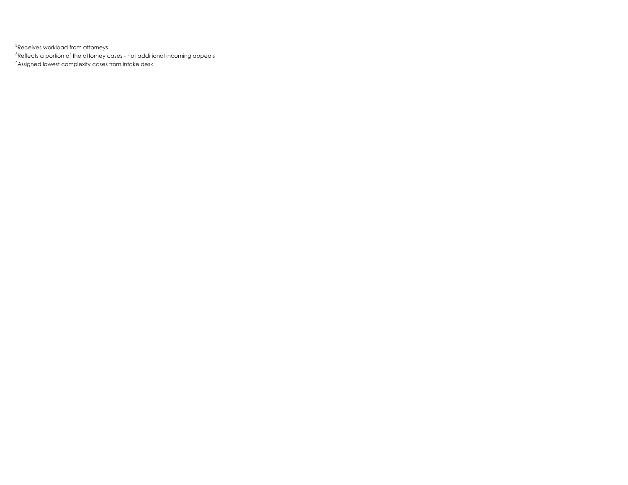$^{2}$ Receives workload from attorneys

 $^3$ Reflects a portion of the attorney cases - not additional incoming appeals

4 Assigned lowest complexity cases from intake desk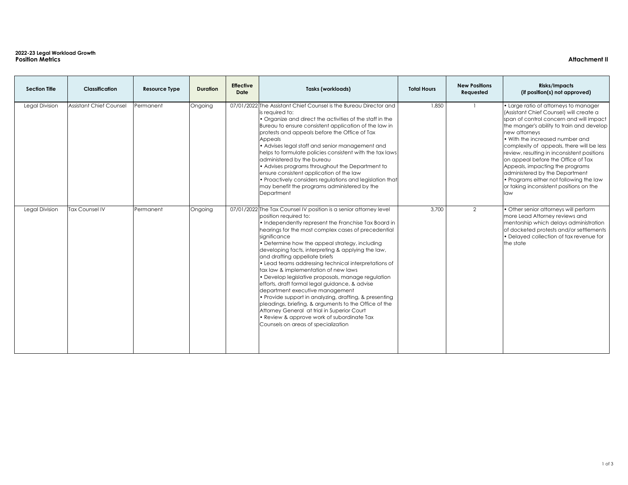# **2022-23 Legal Workload Growth Position Metrics Attachment II**

| <b>Section Title</b>  | <b>Classification</b>          | <b>Resource Type</b> | <b>Duration</b> | <b>Effective</b><br><b>Date</b> | <b>Tasks (workloads)</b>                                                                                                                                                                                                                                                                                                                                                                                                                                                                                                                                                                                                                                                                                                                                                                                                                                             | <b>Total Hours</b> | <b>New Positions</b><br><b>Requested</b> | <b>Risks/Impacts</b><br>(if position(s) not approved)                                                                                                                                                                                                                                                                                                                                                                                                                                                                                                                                           |
|-----------------------|--------------------------------|----------------------|-----------------|---------------------------------|----------------------------------------------------------------------------------------------------------------------------------------------------------------------------------------------------------------------------------------------------------------------------------------------------------------------------------------------------------------------------------------------------------------------------------------------------------------------------------------------------------------------------------------------------------------------------------------------------------------------------------------------------------------------------------------------------------------------------------------------------------------------------------------------------------------------------------------------------------------------|--------------------|------------------------------------------|-------------------------------------------------------------------------------------------------------------------------------------------------------------------------------------------------------------------------------------------------------------------------------------------------------------------------------------------------------------------------------------------------------------------------------------------------------------------------------------------------------------------------------------------------------------------------------------------------|
| <b>Legal Division</b> | <b>Assistant Chief Counsel</b> | Permanent            | Ongoing         |                                 | 07/01/2022 The Assistant Chief Counsel is the Bureau Director and<br>is required to:<br>• Organize and direct the activities of the staff in the<br>Bureau to ensure consistent application of the law in<br>protests and appeals before the Office of Tax<br><b>Appeals</b><br>• Advises legal staff and senior management and<br>helps to formulate policies consistent with the tax laws<br>administered by the bureau<br>• Advises programs throughout the Department to<br>ensure consistent application of the law<br>• Proactively considers regulations and legislation that<br>may benefit the programs administered by the<br>Department                                                                                                                                                                                                                   | 1,850              |                                          | . Large ratio of attorneys to manager<br>(Assistant Chief Counsel) will create a<br>span of control concern and will impact<br>the manger's ability to train and develop<br>new attorneys<br>$\mathord{\hspace{1pt}\text{I}}\mathord{\hspace{1pt}\text{I}}$ . With the increased number and<br>complexity of appeals, there will be less<br>review, resulting in inconsistent positions<br>on appeal before the Office of Tax<br>Appeals, impacting the programs<br>administered by the Department<br>• Programs either not following the law<br>or taking inconsistent positions on the<br>law |
| <b>Legal Division</b> | <b>Tax Counsel IV</b>          | Permanent            | Ongoing         |                                 | 07/01/2022 The Tax Counsel IV position is a senior attorney level<br>position required to:<br>• Independently represent the Franchise Tax Board in<br>hearings for the most complex cases of precedential<br>significance<br>• Determine how the appeal strategy, including<br>developing facts, interpreting & applying the law,<br>and drafting appellate briefs<br>• Lead teams addressing technical interpretations of<br>tax law & implementation of new laws<br>• Develop legislative proposals, manage regulation<br>efforts, draft formal legal guidance, & advise<br>department executive management<br>• Provide support in analyzing, drafting, & presenting<br>pleadings, briefing, & arguments to the Office of the<br>Attorney General at trial in Superior Court<br>• Review & approve work of subordinate Tax<br>Counsels on areas of specialization | 3,700              | $\overline{2}$                           | • Other senior attorneys will perform<br>more Lead Attorney reviews and<br>mentorship which delays administration<br>of docketed protests and/or settlements<br>• Delayed collection of tax revenue for<br>the state                                                                                                                                                                                                                                                                                                                                                                            |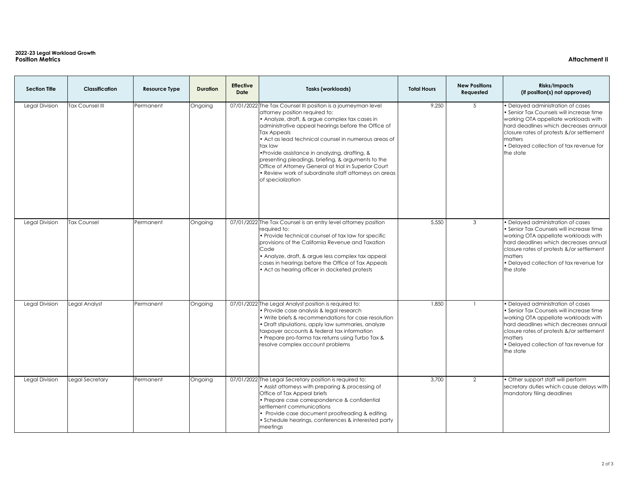# **2022-23 Legal Workload Growth Position Metrics Attachment II**

| <b>Section Title</b>  | <b>Classification</b>  | <b>Resource Type</b> | <b>Duration</b> | <b>Effective</b><br><b>Date</b> | <b>Tasks (workloads)</b>                                                                                                                                                                                                                                                                                                                                                                                                                                                                                                                  | <b>Total Hours</b> | <b>New Positions</b><br><b>Requested</b> | <b>Risks/Impacts</b><br>(if position(s) not approved)                                                                                                                                                                                                                                  |
|-----------------------|------------------------|----------------------|-----------------|---------------------------------|-------------------------------------------------------------------------------------------------------------------------------------------------------------------------------------------------------------------------------------------------------------------------------------------------------------------------------------------------------------------------------------------------------------------------------------------------------------------------------------------------------------------------------------------|--------------------|------------------------------------------|----------------------------------------------------------------------------------------------------------------------------------------------------------------------------------------------------------------------------------------------------------------------------------------|
| <b>Legal Division</b> | <b>Tax Counsel III</b> | Permanent            | Ongoing         |                                 | 07/01/2022 The Tax Counsel III position is a journeyman level<br>attorney position required to:<br>• Analyze, draft, & argue complex tax cases in<br>administrative appeal hearings before the Office of<br>Tax Appeals<br>• Act as lead technical counsel in numerous areas of<br>tax law<br>• Provide assistance in analyzing, drafting, &<br>presenting pleadings, briefing, & arguments to the<br>Office of Attorney General at trial in Superior Court<br>• Review work of subordinate staff attorneys on areas<br>of specialization | 9,250              | 5 <sup>5</sup>                           | • Delayed administration of cases<br>Senior Tax Counsels will increase time<br>working OTA appellate workloads with<br>hard deadlines which decreases annual<br>closure rates of protests &/or settlement<br><i>I</i> matters<br>• Delayed collection of tax revenue for<br>the state  |
| <b>Legal Division</b> | <b>Tax Counsel</b>     | Permanent            | Ongoing         |                                 | 07/01/2022 The Tax Counsel is an entry level attorney position<br>required to:<br>• Provide technical counsel of tax law for specific<br>provisions of the California Revenue and Taxation<br>Code<br>• Analyze, draft, & argue less complex tax appeal<br>cases in hearings before the Office of Tax Appeals<br>• Act as hearing officer in docketed protests                                                                                                                                                                            | 5,550              | 3                                        | • Delayed administration of cases<br>• Senior Tax Counsels will increase time<br>working OTA appellate workloads with<br>hard deadlines which decreases annual<br>closure rates of protests &/or settlement<br><b>Imatters</b><br>• Delayed collection of tax revenue for<br>the state |
| <b>Legal Division</b> | Legal Analyst          | Permanent            | Ongoing         |                                 | 07/01/2022 The Legal Analyst position is required to:<br>• Provide case analysis & legal research<br>• Write briefs & recommendations for case resolution<br>• Draft stipulations, apply law summaries, analyze<br>taxpayer accounts & federal tax information<br>• Prepare pro-forma tax returns using Turbo Tax &<br>resolve complex account problems                                                                                                                                                                                   | 1,850              |                                          | • Delayed administration of cases<br>Senior Tax Counsels will increase time<br>working OTA appellate workloads with<br>hard deadlines which decreases annual<br>closure rates of protests &/or settlement<br><b>Imatters</b><br>• Delayed collection of tax revenue for<br>the state   |
| <b>Legal Division</b> | Legal Secretary        | Permanent            | Ongoing         |                                 | 07/01/2022 The Legal Secretary position is required to:<br>• Assist attorneys with preparing & processing of<br>Office of Tax Appeal briefs<br>• Prepare case correspondence & confidential<br>settlement communications<br>• Provide case document proofreading & editing<br>• Schedule hearings, conferences & interested party<br>meetings                                                                                                                                                                                             | 3,700              | $\overline{2}$                           | • Other support staff will perform<br>secretary duties which cause delays with<br>mandatory filing deadlines                                                                                                                                                                           |